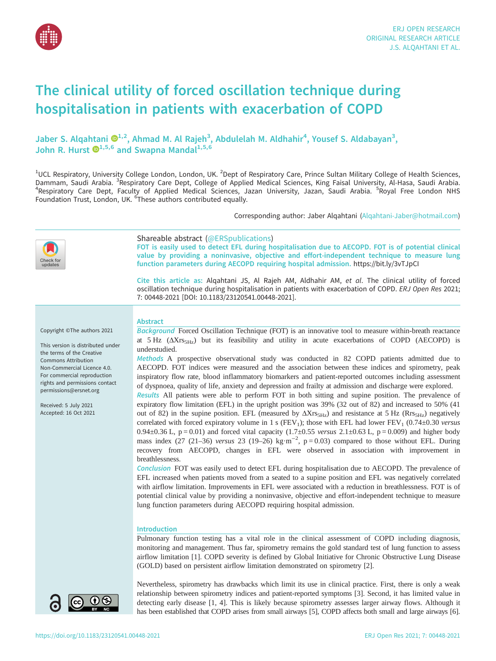

# The clinical utility of forced oscillation technique during hospitalisation in patients with exacerbation of COPD

Jaber S. Alqahtani  $\mathbf{D}^{1,2}$  $\mathbf{D}^{1,2}$  $\mathbf{D}^{1,2}$ , Ahmad M. Al Rajeh<sup>3</sup>, Abdulelah M. Aldhahir<sup>4</sup>, Yousef S. Aldabayan<sup>3</sup>, John R. Hurst  $\mathbf{\Theta}^{1,5,6}$  and Swapna Mandal<sup>1,5,6</sup>

<sup>1</sup>UCL Respiratory, University College London, London, UK. <sup>2</sup>Dept of Respiratory Care, Prince Sultan Military College of Health Sciences, Dammam, Saudi Arabia. <sup>3</sup>Respiratory Care Dept, College of Applied Medical Sciences, King Faisal University, Al-Hasa, Saudi Arabia.<br><sup>4</sup>Pespiratory Care Dept. Eaculty of Applied Medical Sciences, Jazan University, Jazan, Sa Respiratory Care Dept, Faculty of Applied Medical Sciences, Jazan University, Jazan, Saudi Arabia. <sup>5</sup>Royal Free London NHS Foundation Trust, London, UK. <sup>6</sup>These authors contributed equally.

Corresponding author: Jaber Alqahtani [\(Alqahtani-Jaber@hotmail.com](mailto:Alqahtani-Jaber@hotmail.com))

| updates                                                                                                                                                                                                                                                                                                 | Shareable abstract (@ERSpublications)<br>FOT is easily used to detect EFL during hospitalisation due to AECOPD. FOT is of potential clinical<br>value by providing a noninvasive, objective and effort-independent technique to measure lung<br>function parameters during AECOPD requiring hospital admission. https://bit.ly/3vTJpCI<br>Cite this article as: Algahtani JS, Al Rajeh AM, Aldhahir AM, et al. The clinical utility of forced<br>oscillation technique during hospitalisation in patients with exacerbation of COPD. ERJ Open Res 2021;<br>7: 00448-2021 [DOI: 10.1183/23120541.00448-2021].                                                                                                                                                                                                                                                                                                                                                                                                                                                                                                                                                                                                                                                                                                                                                                                                                                                                                                                                                                                                                                                                                                                                                                                                                                                                                                                                                                                                                                                 |
|---------------------------------------------------------------------------------------------------------------------------------------------------------------------------------------------------------------------------------------------------------------------------------------------------------|--------------------------------------------------------------------------------------------------------------------------------------------------------------------------------------------------------------------------------------------------------------------------------------------------------------------------------------------------------------------------------------------------------------------------------------------------------------------------------------------------------------------------------------------------------------------------------------------------------------------------------------------------------------------------------------------------------------------------------------------------------------------------------------------------------------------------------------------------------------------------------------------------------------------------------------------------------------------------------------------------------------------------------------------------------------------------------------------------------------------------------------------------------------------------------------------------------------------------------------------------------------------------------------------------------------------------------------------------------------------------------------------------------------------------------------------------------------------------------------------------------------------------------------------------------------------------------------------------------------------------------------------------------------------------------------------------------------------------------------------------------------------------------------------------------------------------------------------------------------------------------------------------------------------------------------------------------------------------------------------------------------------------------------------------------------|
| Copyright ©The authors 2021<br>This version is distributed under<br>the terms of the Creative<br><b>Commons Attribution</b><br>Non-Commercial Licence 4.0.<br>For commercial reproduction<br>rights and permissions contact<br>permissions@ersnet.org<br>Received: 5 July 2021<br>Accepted: 16 Oct 2021 | <b>Abstract</b><br>Background Forced Oscillation Technique (FOT) is an innovative tool to measure within-breath reactance<br>at 5 Hz $(\Delta X_{TS5Hz})$ but its feasibility and utility in acute exacerbations of COPD (AECOPD) is<br>understudied.<br>Methods A prospective observational study was conducted in 82 COPD patients admitted due to<br>AECOPD. FOT indices were measured and the association between these indices and spirometry, peak<br>inspiratory flow rate, blood inflammatory biomarkers and patient-reported outcomes including assessment<br>of dyspnoea, quality of life, anxiety and depression and frailty at admission and discharge were explored.<br>Results All patients were able to perform FOT in both sitting and supine position. The prevalence of<br>expiratory flow limitation (EFL) in the upright position was 39% (32 out of 82) and increased to 50% (41<br>out of 82) in the supine position. EFL (measured by $\Delta X$ rs <sub>5Hz</sub> ) and resistance at 5 Hz (Rrs <sub>5Hz</sub> ) negatively<br>correlated with forced expiratory volume in 1 s (FEV <sub>1</sub> ); those with EFL had lower FEV <sub>1</sub> (0.74±0.30 versus<br>0.94±0.36 L, $p = 0.01$ ) and forced vital capacity (1.7±0.55 versus 2.1±0.63 L, $p = 0.009$ ) and higher body<br>mass index (27 (21-36) versus 23 (19-26) kg·m <sup>-2</sup> , p = 0.03) compared to those without EFL. During<br>recovery from AECOPD, changes in EFL were observed in association with improvement in<br>breathlessness.<br>Conclusion FOT was easily used to detect EFL during hospitalisation due to AECOPD. The prevalence of<br>EFL increased when patients moved from a seated to a supine position and EFL was negatively correlated<br>with airflow limitation. Improvements in EFL were associated with a reduction in breathlessness. FOT is of<br>potential clinical value by providing a noninvasive, objective and effort-independent technique to measure<br>lung function parameters during AECOPD requiring hospital admission. |
|                                                                                                                                                                                                                                                                                                         | <b>Introduction</b><br>Pulmonary function testing has a vital role in the clinical assessment of COPD including diagnosis,<br>monitoring and management. Thus far, spirometry remains the gold standard test of lung function to assess<br>airflow limitation [1]. COPD severity is defined by Global Initiative for Chronic Obstructive Lung Disease<br>(GOLD) based on persistent airflow limitation demonstrated on spirometry [2].                                                                                                                                                                                                                                                                                                                                                                                                                                                                                                                                                                                                                                                                                                                                                                                                                                                                                                                                                                                                                                                                                                                                                                                                                                                                                                                                                                                                                                                                                                                                                                                                                       |
| $\sqrt{6}$ നി                                                                                                                                                                                                                                                                                           | Nevertheless, spirometry has drawbacks which limit its use in clinical practice. First, there is only a weak<br>relationship between spirometry indices and patient-reported symptoms [3]. Second, it has limited value in<br>detecting early disease [1, 4]. This is likely because spirometry assesses larger airway flows. Although it                                                                                                                                                                                                                                                                                                                                                                                                                                                                                                                                                                                                                                                                                                                                                                                                                                                                                                                                                                                                                                                                                                                                                                                                                                                                                                                                                                                                                                                                                                                                                                                                                                                                                                                    |

detecting early disease [[1](#page-9-0), [4](#page-9-0)]. This is likely because spirometry assesses larger airway flows. Although it has been established that COPD arises from small airways [\[5](#page-9-0)], COPD affects both small and large airways [\[6\]](#page-9-0).

 $RV$  NC

 $\bullet$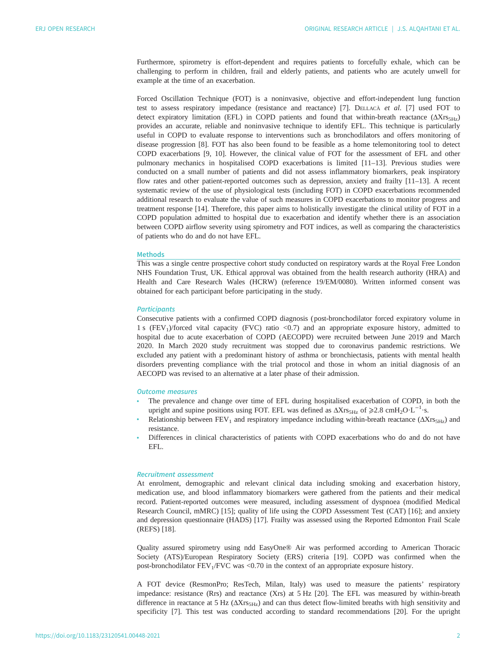Furthermore, spirometry is effort-dependent and requires patients to forcefully exhale, which can be challenging to perform in children, frail and elderly patients, and patients who are acutely unwell for example at the time of an exacerbation.

Forced Oscillation Technique (FOT) is a noninvasive, objective and effort-independent lung function test to assess respiratory impedance (resistance and reactance) [\[7\]](#page-9-0). DELLACÀ et al. [7] used FOT to detect expiratory limitation (EFL) in COPD patients and found that within-breath reactance  $(\Delta X_{\text{IS-}Hz})$ provides an accurate, reliable and noninvasive technique to identify EFL. This technique is particularly useful in COPD to evaluate response to interventions such as bronchodilators and offers monitoring of disease progression [\[8\]](#page-9-0). FOT has also been found to be feasible as a home telemonitoring tool to detect COPD exacerbations [\[9, 10\]](#page-9-0). However, the clinical value of FOT for the assessment of EFL and other pulmonary mechanics in hospitalised COPD exacerbations is limited [\[11](#page-9-0)–[13\]](#page-10-0). Previous studies were conducted on a small number of patients and did not assess inflammatory biomarkers, peak inspiratory flow rates and other patient-reported outcomes such as depression, anxiety and frailty [[11](#page-9-0)–[13](#page-10-0)]. A recent systematic review of the use of physiological tests (including FOT) in COPD exacerbations recommended additional research to evaluate the value of such measures in COPD exacerbations to monitor progress and treatment response [\[14](#page-10-0)]. Therefore, this paper aims to holistically investigate the clinical utility of FOT in a COPD population admitted to hospital due to exacerbation and identify whether there is an association between COPD airflow severity using spirometry and FOT indices, as well as comparing the characteristics of patients who do and do not have EFL.

## Methods

This was a single centre prospective cohort study conducted on respiratory wards at the Royal Free London NHS Foundation Trust, UK. Ethical approval was obtained from the health research authority (HRA) and Health and Care Research Wales (HCRW) (reference 19/EM/0080). Written informed consent was obtained for each participant before participating in the study.

#### **Participants**

Consecutive patients with a confirmed COPD diagnosis ( post-bronchodilator forced expiratory volume in 1 s (FEV<sub>1</sub>)/forced vital capacity (FVC) ratio <0.7) and an appropriate exposure history, admitted to hospital due to acute exacerbation of COPD (AECOPD) were recruited between June 2019 and March 2020. In March 2020 study recruitment was stopped due to coronavirus pandemic restrictions. We excluded any patient with a predominant history of asthma or bronchiectasis, patients with mental health disorders preventing compliance with the trial protocol and those in whom an initial diagnosis of an AECOPD was revised to an alternative at a later phase of their admission.

# Outcome measures

- The prevalence and change over time of EFL during hospitalised exacerbation of COPD, in both the upright and supine positions using FOT. EFL was defined as  $\Delta Xrs_{5Hz}$  of  $\geqslant 2.8$  cmH<sub>2</sub>O·L<sup>-1</sup>·s.
- Relationship between  $FEV_1$  and respiratory impedance including within-breath reactance ( $\Delta Xr_{5}H_7$ ) and resistance.
- Differences in clinical characteristics of patients with COPD exacerbations who do and do not have EFL.

#### Recruitment assessment

At enrolment, demographic and relevant clinical data including smoking and exacerbation history, medication use, and blood inflammatory biomarkers were gathered from the patients and their medical record. Patient-reported outcomes were measured, including assessment of dyspnoea (modified Medical Research Council, mMRC) [[15\]](#page-10-0); quality of life using the COPD Assessment Test (CAT) [\[16](#page-10-0)]; and anxiety and depression questionnaire (HADS) [\[17](#page-10-0)]. Frailty was assessed using the Reported Edmonton Frail Scale (REFS) [\[18](#page-10-0)].

Quality assured spirometry using ndd EasyOne® Air was performed according to American Thoracic Society (ATS)/European Respiratory Society (ERS) criteria [\[19](#page-10-0)]. COPD was confirmed when the post-bronchodilator  $FEV<sub>1</sub>/FVC$  was <0.70 in the context of an appropriate exposure history.

A FOT device (ResmonPro; ResTech, Milan, Italy) was used to measure the patients' respiratory impedance: resistance (Rrs) and reactance (Xrs) at 5 Hz [[20\]](#page-10-0). The EFL was measured by within-breath difference in reactance at 5 Hz  $(\Delta Xr_{5-Hz})$  and can thus detect flow-limited breaths with high sensitivity and specificity [[7](#page-9-0)]. This test was conducted according to standard recommendations [[20\]](#page-10-0). For the upright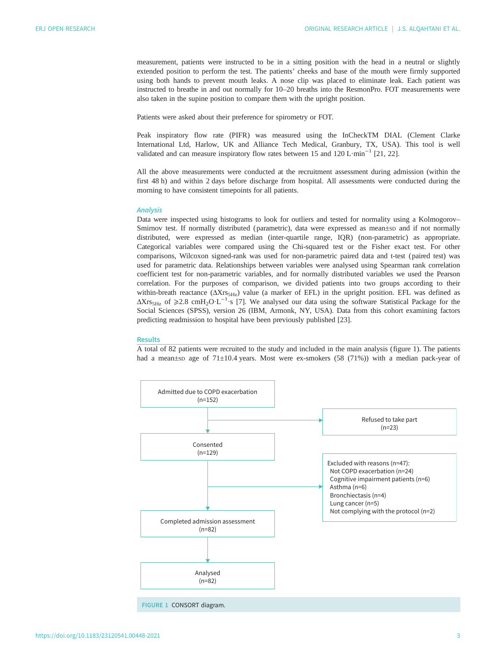measurement, patients were instructed to be in a sitting position with the head in a neutral or slightly extended position to perform the test. The patients' cheeks and base of the mouth were firmly supported using both hands to prevent mouth leaks. A nose clip was placed to eliminate leak. Each patient was instructed to breathe in and out normally for 10–20 breaths into the ResmonPro. FOT measurements were also taken in the supine position to compare them with the upright position.

Patients were asked about their preference for spirometry or FOT.

Peak inspiratory flow rate (PIFR) was measured using the InCheckTM DIAL (Clement Clarke International Ltd, Harlow, UK and Alliance Tech Medical, Granbury, TX, USA). This tool is well validated and can measure inspiratory flow rates between 15 and 120 L·min−<sup>1</sup> [\[21](#page-10-0), [22](#page-10-0)].

All the above measurements were conducted at the recruitment assessment during admission (within the first 48 h) and within 2 days before discharge from hospital. All assessments were conducted during the morning to have consistent timepoints for all patients.

#### **Analysis**

Data were inspected using histograms to look for outliers and tested for normality using a Kolmogorov– Smirnov test. If normally distributed (parametric), data were expressed as mean±sp and if not normally distributed, were expressed as median (inter-quartile range, IQR) (non-parametric) as appropriate. Categorical variables were compared using the Chi-squared test or the Fisher exact test. For other comparisons, Wilcoxon signed-rank was used for non-parametric paired data and t-test ( paired test) was used for parametric data. Relationships between variables were analysed using Spearman rank correlation coefficient test for non-parametric variables, and for normally distributed variables we used the Pearson correlation. For the purposes of comparison, we divided patients into two groups according to their within-breath reactance  $(\Delta X_{TS<sub>THz</sub>})$  value (a marker of EFL) in the upright position. EFL was defined as  $\Delta X$ rs<sub>5Hz</sub> of  $\geqslant$ 2.8 cmH<sub>2</sub>O·L<sup>-1</sup>·s [[7](#page-9-0)]. We analysed our data using the software Statistical Package for the Social Sciences (SPSS), version 26 (IBM, Armonk, NY, USA). Data from this cohort examining factors predicting readmission to hospital have been previously published [\[23](#page-10-0)].

#### **Results**

A total of 82 patients were recruited to the study and included in the main analysis (figure 1). The patients had a mean±sp age of  $71\pm10.4$  years. Most were ex-smokers (58 (71%)) with a median pack-year of

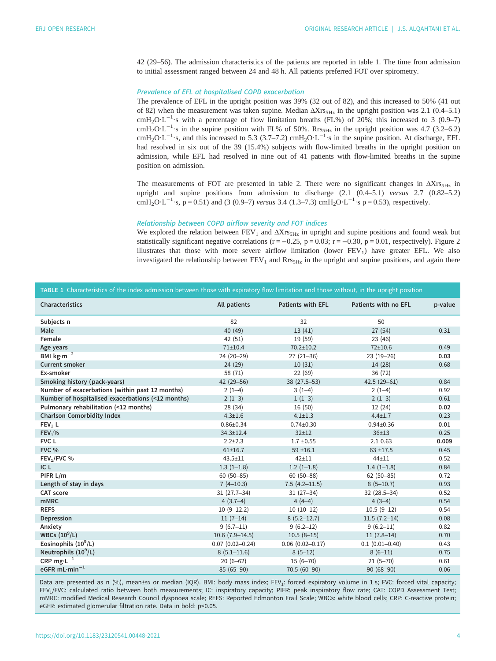<span id="page-3-0"></span>42 (29–56). The admission characteristics of the patients are reported in table 1. The time from admission to initial assessment ranged between 24 and 48 h. All patients preferred FOT over spirometry.

# Prevalence of EFL at hospitalised COPD exacerbation

The prevalence of EFL in the upright position was 39% (32 out of 82), and this increased to 50% (41 out of 82) when the measurement was taken supine. Median  $\Delta X$ rs<sub>5Hz</sub> in the upright position was 2.1 (0.4–5.1) cmH<sub>2</sub>O·L<sup>-1</sup>·s with a percentage of flow limitation breaths (FL%) of 20%; this increased to 3 (0.9–7) cmH<sub>2</sub>O⋅L<sup>-1</sup>⋅s in the supine position with FL% of 50%. Rrs<sub>5Hz</sub> in the upright position was 4.7 (3.2–6.2) cmH<sub>2</sub>O⋅L<sup>-1</sup>⋅s, and this increased to 5.3 (3.7–7.2) cmH<sub>2</sub>O⋅L<sup>-1</sup>⋅s in the supine position. At discharge, EFL had resolved in six out of the 39 (15.4%) subjects with flow-limited breaths in the upright position on admission, while EFL had resolved in nine out of 41 patients with flow-limited breaths in the supine position on admission.

The measurements of FOT are presented in [table 2](#page-4-0). There were no significant changes in  $\Delta Xrs$ <sub>SHz</sub> in upright and supine positions from admission to discharge (2.1 (0.4–5.1) versus 2.7 (0.82–5.2) cmH<sub>2</sub>O⋅L<sup>-1</sup>⋅s, p = 0.51) and (3 (0.9–7) versus 3.4 (1.3–7.3) cmH<sub>2</sub>O⋅L<sup>-1</sup>⋅s p = 0.53), respectively.

#### Relationship between COPD airflow severity and FOT indices

We explored the relation between  $FEV_1$  and  $\Delta Xr_{S5Hz}$  in upright and supine positions and found weak but statistically significant negative correlations ( $r = -0.25$ ,  $p = 0.03$ ;  $r = -0.30$ ,  $p = 0.01$ , respectively). [Figure 2](#page-4-0) illustrates that those with more severe airflow limitation (lower  $FEV<sub>1</sub>$ ) have greater  $EF<sub>L</sub>$ . We also investigated the relationship between  $FEV_1$  and  $Rrs_{5Hz}$  in the upright and supine positions, and again there

| TABLE 1 Characteristics of the index admission between those with expiratory flow limitation and those without, in the upright position |                     |                          |                      |         |  |  |  |  |  |  |  |
|-----------------------------------------------------------------------------------------------------------------------------------------|---------------------|--------------------------|----------------------|---------|--|--|--|--|--|--|--|
| Characteristics                                                                                                                         | All patients        | <b>Patients with EFL</b> | Patients with no EFL | p-value |  |  |  |  |  |  |  |
| Subjects n                                                                                                                              | 82                  | 32                       | 50                   |         |  |  |  |  |  |  |  |
| Male                                                                                                                                    | 40 (49)             | 13(41)                   | 27(54)               | 0.31    |  |  |  |  |  |  |  |
| Female                                                                                                                                  | 42 (51)             | 19 (59)                  | 23 (46)              |         |  |  |  |  |  |  |  |
| Age years                                                                                                                               | 71±10.4             | $70.2 \pm 10.2$          | $72 + 10.6$          | 0.49    |  |  |  |  |  |  |  |
| BMI $\text{kg}\cdot\text{m}^{-2}$                                                                                                       | 24 (20-29)          | $27(21-36)$              | $23(19 - 26)$        | 0.03    |  |  |  |  |  |  |  |
| <b>Current smoker</b>                                                                                                                   | 24 (29)             | 10(31)                   | 14 (28)              | 0.68    |  |  |  |  |  |  |  |
| Ex-smoker                                                                                                                               | 58 (71)             | 22(69)                   | 36 (72)              |         |  |  |  |  |  |  |  |
| Smoking history (pack-years)                                                                                                            | 42 (29-56)          | 38 (27.5-53)             | $42.5(29-61)$        | 0.84    |  |  |  |  |  |  |  |
| Number of exacerbations (within past 12 months)                                                                                         | $2(1-4)$            | $3(1-4)$                 | $2(1-4)$             | 0.92    |  |  |  |  |  |  |  |
| Number of hospitalised exacerbations (<12 months)                                                                                       | $2(1-3)$            | $1(1-3)$                 | $2(1-3)$             | 0.61    |  |  |  |  |  |  |  |
| Pulmonary rehabilitation (<12 months)                                                                                                   | 28 (34)             | 16 (50)                  | 12 (24)              | 0.02    |  |  |  |  |  |  |  |
| <b>Charlson Comorbidity Index</b>                                                                                                       | $4.3 + 1.6$         | $4.1 \pm 1.3$            | $4.4 \pm 1.7$        | 0.23    |  |  |  |  |  |  |  |
| FEV <sub>1</sub> L                                                                                                                      | $0.86 \pm 0.34$     | $0.74 \pm 0.30$          | $0.94 \pm 0.36$      | 0.01    |  |  |  |  |  |  |  |
| FEV <sub>1</sub> %                                                                                                                      | $34.3 \pm 12.4$     | $32 + 12$                | $36 + 13$            | 0.25    |  |  |  |  |  |  |  |
| FVC L                                                                                                                                   | $2.2 + 2.3$         | $1.7 \pm 0.55$           | 2.1 0.63             | 0.009   |  |  |  |  |  |  |  |
| <b>FVC %</b>                                                                                                                            | $61 + 16.7$         | $59 + 16.1$              | $63 + 17.5$          | 0.45    |  |  |  |  |  |  |  |
| $FEV1/FVC$ %                                                                                                                            | $43.5 \pm 11$       | $42 + 11$                | $44 + 11$            | 0.52    |  |  |  |  |  |  |  |
| IC L                                                                                                                                    | $1.3(1-1.8)$        | $1.2(1-1.8)$             | $1.4(1-1.8)$         | 0.84    |  |  |  |  |  |  |  |
| PIFR L/m                                                                                                                                | $60(50 - 85)$       | $60(50 - 88)$            | $62(50-85)$          | 0.72    |  |  |  |  |  |  |  |
| Length of stay in days                                                                                                                  | $7(4-10.3)$         | $7.5(4.2 - 11.5)$        | $8(5-10.7)$          | 0.93    |  |  |  |  |  |  |  |
| <b>CAT score</b>                                                                                                                        | $31(27.7-34)$       | $31(27-34)$              | 32 (28.5-34)         | 0.52    |  |  |  |  |  |  |  |
| <b>mMRC</b>                                                                                                                             | $4(3.7-4)$          | $4(4-4)$                 | $4(3-4)$             | 0.54    |  |  |  |  |  |  |  |
| <b>REFS</b>                                                                                                                             | $10(9-12.2)$        | $10(10-12)$              | $10.5(9-12)$         | 0.54    |  |  |  |  |  |  |  |
| Depression                                                                                                                              | $11(7-14)$          | $8(5.2 - 12.7)$          | $11.5(7.2-14)$       | 0.08    |  |  |  |  |  |  |  |
| Anxiety                                                                                                                                 | $9(6.7-11)$         | $9(6.2 - 12)$            | $9(6.2 - 11)$        | 0.82    |  |  |  |  |  |  |  |
| WBCs $(10^9/L)$                                                                                                                         | $10.6(7.9-14.5)$    | $10.5(8-15)$             | $11(7.8-14)$         | 0.70    |  |  |  |  |  |  |  |
| Eosinophils $(10^9/L)$                                                                                                                  | $0.07(0.02 - 0.24)$ | $0.06(0.02 - 0.17)$      | $0.1(0.01 - 0.40)$   | 0.43    |  |  |  |  |  |  |  |
| Neutrophils $(10^9/L)$                                                                                                                  | $8(5.1 - 11.6)$     | $8(5-12)$                | $8(6-11)$            | 0.75    |  |  |  |  |  |  |  |
| CRP $mg·L^{-1}$                                                                                                                         | $20(6-62)$          | $15(6 - 70)$             | $21(5-70)$           | 0.61    |  |  |  |  |  |  |  |
| eGFR $ml·min^{-1}$                                                                                                                      | 85 (65-90)          | 70.5 (60-90)             | $90(68 - 90)$        | 0.06    |  |  |  |  |  |  |  |

Data are presented as n (%), mean±so or median (IQR). BMI: body mass index; FEV<sub>1</sub>: forced expiratory volume in 1 s; FVC: forced vital capacity; FEV<sub>1</sub>/FVC: calculated ratio between both measurements; IC: inspiratory capacity; PIFR: peak inspiratory flow rate; CAT: COPD Assessment Test; mMRC: modified Medical Research Council dyspnoea scale; REFS: Reported Edmonton Frail Scale; WBCs: white blood cells; CRP: C-reactive protein; eGFR: estimated glomerular filtration rate. Data in bold: p<0.05.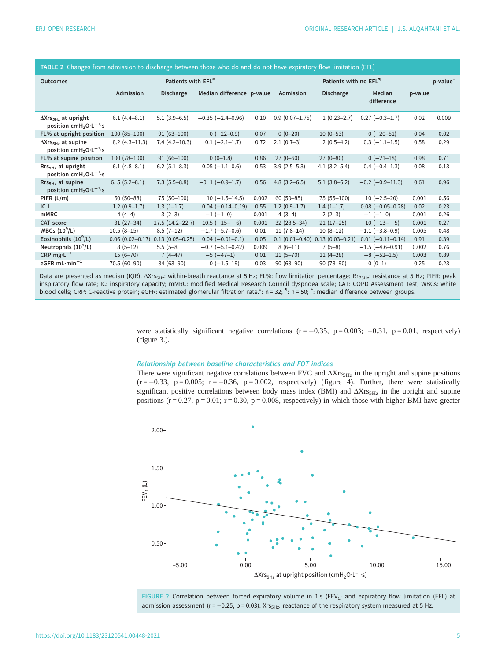| <b>DESITED IN A STRAIGHT IN A STRAIGHT IN A STRAIGHT IN A STRAIGHT IN A STRAIGHT IN A STRAIGHT IN A STRAIGHT IN A</b> |                                |                     |                           |       |                                   |                                    |                          |         |                      |  |  |
|-----------------------------------------------------------------------------------------------------------------------|--------------------------------|---------------------|---------------------------|-------|-----------------------------------|------------------------------------|--------------------------|---------|----------------------|--|--|
| <b>Outcomes</b>                                                                                                       | Patients with EFL <sup>#</sup> |                     |                           |       | Patients with no EFL <sup>"</sup> |                                    |                          |         | p-value <sup>+</sup> |  |  |
|                                                                                                                       | Admission                      | <b>Discharge</b>    | Median difference p-value |       | Admission                         | <b>Discharge</b>                   | Median<br>difference     | p-value |                      |  |  |
| $\Delta X$ rs <sub>5Hz</sub> at upright<br>position cmH <sub>2</sub> O·L <sup>-1</sup> ·s                             | $6.1(4.4 - 8.1)$               | $5.1(3.9-6.5)$      | $-0.35$ ( $-2.4-0.96$ )   | 0.10  | $0.9(0.07 - 1.75)$                | $1(0.23 - 2.7)$                    | $0.27 (-0.3 - 1.7)$      | 0.02    | 0.009                |  |  |
| FL% at upright position                                                                                               | $100(85-100)$                  | $91(63 - 100)$      | $0 (-22 - 0.9)$           | 0.07  | $0(0-20)$                         | $10(0-53)$                         | $0 (-20 - 51)$           | 0.04    | 0.02                 |  |  |
| $\Delta X$ rs <sub>5Hz</sub> at supine<br>position cmH <sub>2</sub> O·L <sup>-1</sup> ·s                              | $8.2(4.3-11.3)$                | $7.4(4.2-10.3)$     | $0.1 (-2.1 - 1.7)$        | 0.72  | $2.1(0.7-3)$                      | $2(0.5-4.2)$                       | $0.3$ $(-1.1-1.5)$       | 0.58    | 0.29                 |  |  |
| FL% at supine position                                                                                                | $100(78-100)$                  | $91(66 - 100)$      | $0(0-1.8)$                | 0.86  | $27(0-60)$                        | $27(0-80)$                         | $0 (-21-18)$             | 0.98    | 0.71                 |  |  |
| $RrsSHZ$ at upright<br>position cmH <sub>2</sub> O·L <sup>-1</sup> ·s                                                 | $6.1(4.8-8.1)$                 | $6.2$ (5.1–8.3)     | $0.05 (-1.1 - 0.6)$       | 0.53  | $3.9(2.5-5.3)$                    | $4.1(3.2 - 5.4)$                   | $0.4 (-0.4 - 1.3)$       | 0.08    | 0.13                 |  |  |
| Rrs <sub>5Hz</sub> at supine<br>position cmH <sub>2</sub> O·L <sup>-1</sup> ·s                                        | $6.5(5.2 - 8.1)$               | $7.3(5.5-8.8)$      | $-0.1(-0.9-1.7)$          | 0.56  | $4.8(3.2 - 6.5)$                  | $5.1(3.8-6.2)$                     | $-0.2$ ( $-0.9-11.3$ )   | 0.61    | 0.96                 |  |  |
| PIFR (L/m)                                                                                                            | $60(50 - 88)$                  | 75 (50-100)         | $10 (-1.5 - 14.5)$        | 0.002 | $60(50 - 85)$                     | 75 (55-100)                        | $10 (-2.5 - 20)$         | 0.001   | 0.56                 |  |  |
| IC <sub>L</sub>                                                                                                       | $1.2(0.9-1.7)$                 | $1.3(1-1.7)$        | $0.04 (-0.14 - 0.19)$     | 0.55  | $1.2(0.9-1.7)$                    | $1.4(1-1.7)$                       | $0.08 (-0.05 - 0.28)$    | 0.02    | 0.23                 |  |  |
| <b>mMRC</b>                                                                                                           | $4(4-4)$                       | $3(2-3)$            | $-1$ (-1-0)               | 0.001 | $4(3-4)$                          | $2(2-3)$                           | $-1$ ( $-1-0$ )          | 0.001   | 0.26                 |  |  |
| CAT score                                                                                                             | $31(27-34)$                    | $17.5(14.2 - 22.7)$ | $-10.5$ ( $-15 -6$ )      | 0.001 | $32(28.5 - 34)$                   | $21(17-25)$                        | $-10$ ( $-13$ - $-5$ )   | 0.001   | 0.27                 |  |  |
| WBCs $(10^9/L)$                                                                                                       | $10.5(8-15)$                   | $8.5(7-12)$         | $-1.7$ ( $-5.7-0.6$ )     | 0.01  | $11(7.8-14)$                      | $10(8-12)$                         | $-1.1$ $(-3.8-0.9)$      | 0.005   | 0.48                 |  |  |
| Eosinophils $(10^9/L)$                                                                                                | $0.06(0.02 - 0.17)$            | $0.13(0.05 - 0.25)$ | $0.04 (-0.01 - 0.1)$      | 0.05  |                                   | $0.1$ (0.01-0.40) 0.13 (0.03-0.21) | $0.01 (-0.11 - 0.14)$    | 0.91    | 0.39                 |  |  |
| Neutrophils $(10^9/L)$                                                                                                | $8(5-12)$                      | $5.5(5-8)$          | $-0.7$ ( $-5.1-0.42$ )    | 0.009 | $8(6-11)$                         | $7(5-8)$                           | $-1.5$ ( $-4.6 - 0.91$ ) | 0.002   | 0.76                 |  |  |
| CRP mg $\cdot L^{-1}$                                                                                                 | $15(6 - 70)$                   | $7(4-47)$           | $-5(-47-1)$               | 0.01  | $21(5-70)$                        | $11(4-28)$                         | $-8$ ( $-52-1.5$ )       | 0.003   | 0.89                 |  |  |
| eGFR $mL·min^{-1}$                                                                                                    | 70.5 (60-90)                   | 84 (63-90)          | $0 (-1.5 - 19)$           | 0.03  | $90(68 - 90)$                     | 90 (78-90)                         | $0(0-1)$                 | 0.25    | 0.23                 |  |  |

<span id="page-4-0"></span>TABLE 2 Changes from admission to discharge between those who do and do not have expiratory flow limitation (EFL)

Data are presented as median (IQR). ΔXrs<sub>5Hz</sub>: within-breath reactance at 5 Hz; FL%: flow limitation percentage; Rrs<sub>5Hz</sub>: resistance at 5 Hz; PIFR: peak inspiratory flow rate; IC: inspiratory capacity; mMRC: modified Medical Research Council dyspnoea scale; CAT: COPD Assessment Test; WBCs: white blood cells; CRP: C-reactive protein; eGFR: estimated glomerular filtration rate.<sup>#</sup>: n = 32; <sup>4</sup>: n = 50; <sup>+</sup>: median difference between groups.

> were statistically significant negative correlations ( $r = -0.35$ ,  $p = 0.003$ ;  $-0.31$ ,  $p = 0.01$ , respectively) [\(figure 3](#page-5-0).).

#### Relationship between baseline characteristics and FOT indices

There were significant negative correlations between FVC and  $\Delta X \rm rs_{5Hz}$  in the upright and supine positions  $(r = -0.33, p = 0.005; r = -0.36, p = 0.002,$  respectively) ([figure 4](#page-5-0)). Further, there were statistically significant positive correlations between body mass index (BMI) and  $\Delta Xr s_{5Hz}$  in the upright and supine positions ( $r = 0.27$ ,  $p = 0.01$ ;  $r = 0.30$ ,  $p = 0.008$ , respectively) in which those with higher BMI have greater



FIGURE 2 Correlation between forced expiratory volume in 1 s (FEV<sub>1</sub>) and expiratory flow limitation (EFL) at admission assessment ( $r = -0.25$ ,  $p = 0.03$ ). Xrs<sub>5Hz</sub>: reactance of the respiratory system measured at 5 Hz.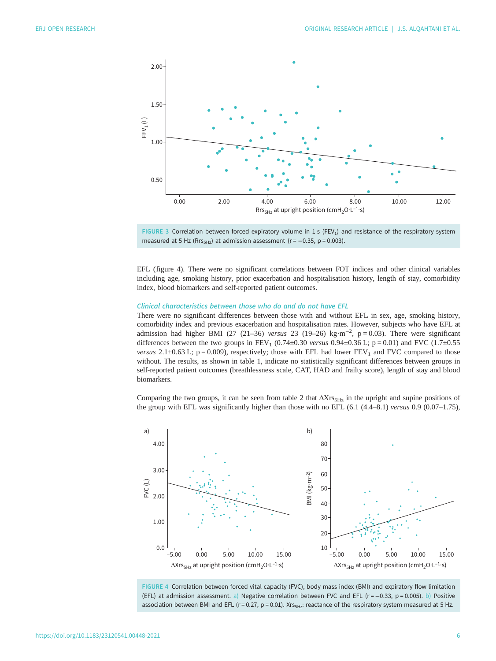<span id="page-5-0"></span>

FIGURE 3 Correlation between forced expiratory volume in 1 s (FEV<sub>1</sub>) and resistance of the respiratory system measured at 5 Hz (Rrs<sub>5Hz</sub>) at admission assessment ( $r = -0.35$ , p = 0.003).

EFL (figure 4). There were no significant correlations between FOT indices and other clinical variables including age, smoking history, prior exacerbation and hospitalisation history, length of stay, comorbidity index, blood biomarkers and self-reported patient outcomes.

#### Clinical characteristics between those who do and do not have EFL

There were no significant differences between those with and without EFL in sex, age, smoking history, comorbidity index and previous exacerbation and hospitalisation rates. However, subjects who have EFL at admission had higher BMI (27 (21–36) versus 23 (19–26) kg·m<sup>-2</sup>, p = 0.03). There were significant differences between the two groups in  $FEV_1$  (0.74±0.30 versus 0.94±0.36 L; p = 0.01) and FVC (1.7±0.55 versus 2.1±0.63 L;  $p = 0.009$ ), respectively; those with EFL had lower  $FEV<sub>1</sub>$  and FVC compared to those without. The results, as shown in [table 1](#page-3-0), indicate no statistically significant differences between groups in self-reported patient outcomes (breathlessness scale, CAT, HAD and frailty score), length of stay and blood biomarkers.

Comparing the two groups, it can be seen from [table 2](#page-4-0) that  $\Delta X$ rs<sub>5Hz</sub> in the upright and supine positions of the group with EFL was significantly higher than those with no EFL (6.1 (4.4–8.1) versus 0.9 (0.07–1.75),



FIGURE 4 Correlation between forced vital capacity (FVC), body mass index (BMI) and expiratory flow limitation (EFL) at admission assessment. a) Negative correlation between FVC and EFL (r = −0.33, p = 0.005). b) Positive association between BMI and EFL ( $r = 0.27$ ,  $p = 0.01$ ). X $r_{S5Hz}$ : reactance of the respiratory system measured at 5 Hz.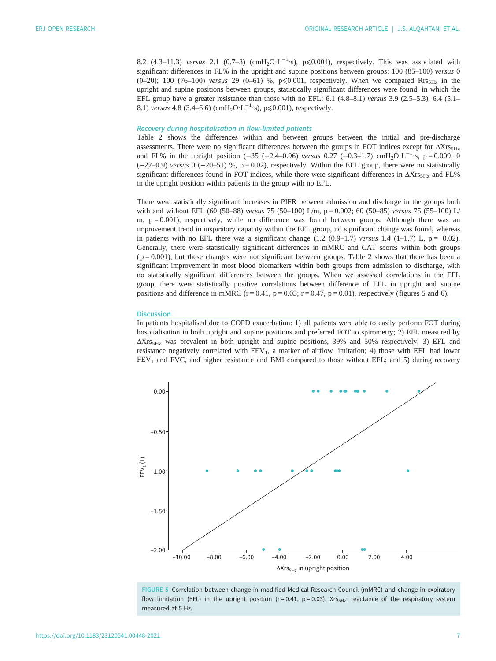8.2 (4.3–11.3) versus 2.1 (0.7–3) (cmH<sub>2</sub>O·L<sup>-1</sup>·s), p≤0.001), respectively. This was associated with significant differences in FL% in the upright and supine positions between groups: 100 (85–100) versus 0 (0–20); 100 (76–100) versus 29 (0–61) %, p $\leq 0.001$ , respectively. When we compared Rrs<sub>5Hz</sub> in the upright and supine positions between groups, statistically significant differences were found, in which the EFL group have a greater resistance than those with no EFL:  $6.1$   $(4.8-8.1)$  versus  $3.9$   $(2.5-5.3)$ ,  $6.4$   $(5.1-$ 8.1) versus 4.8 (3.4–6.6) (cmH<sub>2</sub>O⋅L<sup>-1</sup>⋅s), p≤0.001), respectively.

# Recovery during hospitalisation in flow-limited patients

[Table 2](#page-4-0) shows the differences within and between groups between the initial and pre-discharge assessments. There were no significant differences between the groups in FOT indices except for  $\Delta X_{TS,Hz}$ and FL% in the upright position (-35 (-2.4–0.96) versus 0.27 (-0.3–1.7) cmH<sub>2</sub>O·L<sup>-1</sup>·s, p = 0.009; 0 (−22–0.9) versus 0 (−20–51) %, p = 0.02), respectively. Within the EFL group, there were no statistically significant differences found in FOT indices, while there were significant differences in  $\Delta X$ rs<sub>5Hz</sub> and FL% in the upright position within patients in the group with no EFL.

There were statistically significant increases in PIFR between admission and discharge in the groups both with and without EFL (60 (50–88) versus 75 (50–100) L/m, p = 0.002; 60 (50–85) versus 75 (55–100) L/ m,  $p = 0.001$ ), respectively, while no difference was found between groups. Although there was an improvement trend in inspiratory capacity within the EFL group, no significant change was found, whereas in patients with no EFL there was a significant change  $(1.2 \ (0.9-1.7)$  versus 1.4  $(1-1.7)$  L,  $p = 0.02$ ). Generally, there were statistically significant differences in mMRC and CAT scores within both groups  $(p = 0.001)$ , but these changes were not significant between groups. [Table 2](#page-4-0) shows that there has been a significant improvement in most blood biomarkers within both groups from admission to discharge, with no statistically significant differences between the groups. When we assessed correlations in the EFL group, there were statistically positive correlations between difference of EFL in upright and supine positions and difference in mMRC ( $r = 0.41$ ,  $p = 0.03$ ;  $r = 0.47$ ,  $p = 0.01$ ), respectively (figures 5 and [6\)](#page-7-0).

#### **Discussion**

In patients hospitalised due to COPD exacerbation: 1) all patients were able to easily perform FOT during hospitalisation in both upright and supine positions and preferred FOT to spirometry; 2) EFL measured by ΔXrs5Hz was prevalent in both upright and supine positions, 39% and 50% respectively; 3) EFL and resistance negatively correlated with  $FEV<sub>1</sub>$ , a marker of airflow limitation; 4) those with EFL had lower FEV<sub>1</sub> and FVC, and higher resistance and BMI compared to those without EFL; and 5) during recovery



FIGURE 5 Correlation between change in modified Medical Research Council (mMRC) and change in expiratory flow limitation (EFL) in the upright position ( $r = 0.41$ ,  $p = 0.03$ ). Xrs<sub>5Hz</sub>: reactance of the respiratory system measured at 5 Hz.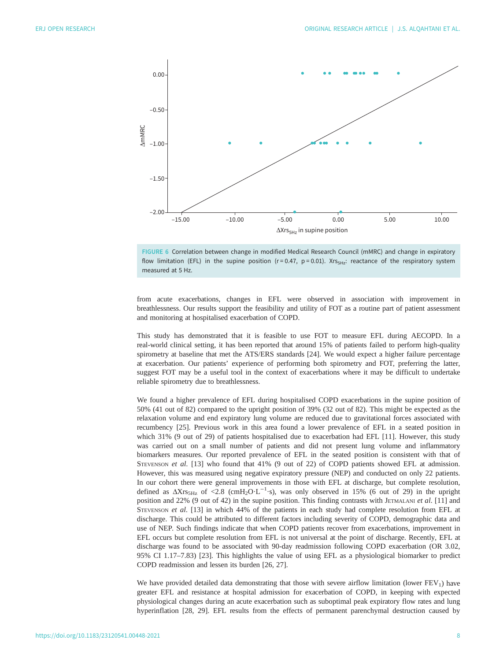<span id="page-7-0"></span>

FIGURE 6 Correlation between change in modified Medical Research Council (mMRC) and change in expiratory flow limitation (EFL) in the supine position ( $r = 0.47$ ,  $p = 0.01$ ). Xrs<sub>5Hz</sub>: reactance of the respiratory system measured at 5 Hz.

from acute exacerbations, changes in EFL were observed in association with improvement in breathlessness. Our results support the feasibility and utility of FOT as a routine part of patient assessment and monitoring at hospitalised exacerbation of COPD.

This study has demonstrated that it is feasible to use FOT to measure EFL during AECOPD. In a real-world clinical setting, it has been reported that around 15% of patients failed to perform high-quality spirometry at baseline that met the ATS/ERS standards [[24\]](#page-10-0). We would expect a higher failure percentage at exacerbation. Our patients' experience of performing both spirometry and FOT, preferring the latter, suggest FOT may be a useful tool in the context of exacerbations where it may be difficult to undertake reliable spirometry due to breathlessness.

We found a higher prevalence of EFL during hospitalised COPD exacerbations in the supine position of 50% (41 out of 82) compared to the upright position of 39% (32 out of 82). This might be expected as the relaxation volume and end expiratory lung volume are reduced due to gravitational forces associated with recumbency [[25\]](#page-10-0). Previous work in this area found a lower prevalence of EFL in a seated position in which 31% (9 out of 29) of patients hospitalised due to exacerbation had EFL [\[11](#page-9-0)]. However, this study was carried out on a small number of patients and did not present lung volume and inflammatory biomarkers measures. Our reported prevalence of EFL in the seated position is consistent with that of STEVENSON et al. [[13\]](#page-10-0) who found that 41% (9 out of 22) of COPD patients showed EFL at admission. However, this was measured using negative expiratory pressure (NEP) and conducted on only 22 patients. In our cohort there were general improvements in those with EFL at discharge, but complete resolution, defined as  $\Delta X$ rs<sub>5Hz</sub> of <2.8 (cmH<sub>2</sub>O·L<sup>-1</sup>·s), was only observed in 15% (6 out of 29) in the upright position and 22% (9 out of 42) in the supine position. This finding contrasts with JETMALANI et al. [\[11](#page-9-0)] and STEVENSON et al. [\[13](#page-10-0)] in which 44% of the patients in each study had complete resolution from EFL at discharge. This could be attributed to different factors including severity of COPD, demographic data and use of NEP. Such findings indicate that when COPD patients recover from exacerbations, improvement in EFL occurs but complete resolution from EFL is not universal at the point of discharge. Recently, EFL at discharge was found to be associated with 90-day readmission following COPD exacerbation (OR 3.02, 95% CI 1.17–7.83) [\[23](#page-10-0)]. This highlights the value of using EFL as a physiological biomarker to predict COPD readmission and lessen its burden [[26, 27\]](#page-10-0).

We have provided detailed data demonstrating that those with severe airflow limitation (lower  $FEV<sub>1</sub>$ ) have greater EFL and resistance at hospital admission for exacerbation of COPD, in keeping with expected physiological changes during an acute exacerbation such as suboptimal peak expiratory flow rates and lung hyperinflation [[28, 29\]](#page-10-0). EFL results from the effects of permanent parenchymal destruction caused by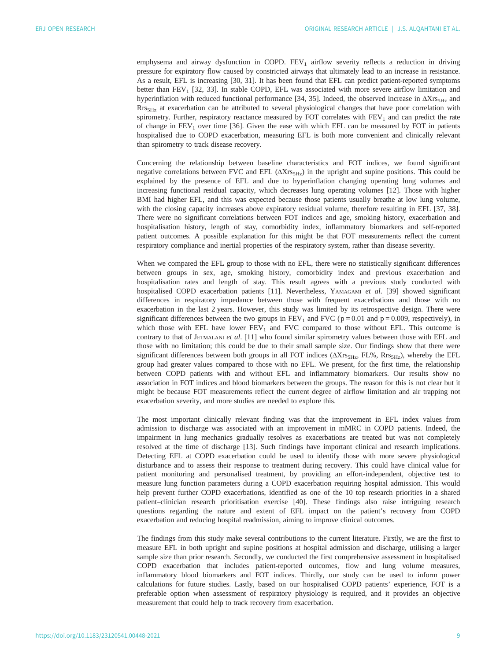emphysema and airway dysfunction in COPD.  $FEV<sub>1</sub>$  airflow severity reflects a reduction in driving pressure for expiratory flow caused by constricted airways that ultimately lead to an increase in resistance. As a result, EFL is increasing [[30, 31](#page-10-0)]. It has been found that EFL can predict patient-reported symptoms better than FEV<sub>1</sub> [[32, 33](#page-10-0)]. In stable COPD, EFL was associated with more severe airflow limitation and hyperinflation with reduced functional performance [[34, 35\]](#page-10-0). Indeed, the observed increase in  $\Delta X_{TSS_{\rm HZ}}$  and Rrs<sub>5Hz</sub> at exacerbation can be attributed to several physiological changes that have poor correlation with spirometry. Further, respiratory reactance measured by FOT correlates with  $FEV<sub>1</sub>$  and can predict the rate of change in  $FEV<sub>1</sub>$  over time [[36\]](#page-10-0). Given the ease with which EFL can be measured by FOT in patients hospitalised due to COPD exacerbation, measuring EFL is both more convenient and clinically relevant than spirometry to track disease recovery.

Concerning the relationship between baseline characteristics and FOT indices, we found significant negative correlations between FVC and EFL (ΔXrs<sub>5Hz</sub>) in the upright and supine positions. This could be explained by the presence of EFL and due to hyperinflation changing operating lung volumes and increasing functional residual capacity, which decreases lung operating volumes [\[12](#page-9-0)]. Those with higher BMI had higher EFL, and this was expected because those patients usually breathe at low lung volume, with the closing capacity increases above expiratory residual volume, therefore resulting in EFL [\[37](#page-10-0), [38\]](#page-10-0). There were no significant correlations between FOT indices and age, smoking history, exacerbation and hospitalisation history, length of stay, comorbidity index, inflammatory biomarkers and self-reported patient outcomes. A possible explanation for this might be that FOT measurements reflect the current respiratory compliance and inertial properties of the respiratory system, rather than disease severity.

When we compared the EFL group to those with no EFL, there were no statistically significant differences between groups in sex, age, smoking history, comorbidity index and previous exacerbation and hospitalisation rates and length of stay. This result agrees with a previous study conducted with hospitalised COPD exacerbation patients [[11\]](#page-9-0). Nevertheless, YAMAGAMI et al. [[39\]](#page-10-0) showed significant differences in respiratory impedance between those with frequent exacerbations and those with no exacerbation in the last 2 years. However, this study was limited by its retrospective design. There were significant differences between the two groups in  $FEV<sub>1</sub>$  and  $FVC$  ( $p = 0.01$  and  $p = 0.009$ , respectively), in which those with EFL have lower  $FEV<sub>1</sub>$  and FVC compared to those without EFL. This outcome is contrary to that of JETMALANI et al. [[11\]](#page-9-0) who found similar spirometry values between those with EFL and those with no limitation; this could be due to their small sample size. Our findings show that there were significant differences between both groups in all FOT indices  $(\Delta X \r{rs}_{5Hz}, FL\%, R \r{rs}_{5Hz})$ , whereby the EFL group had greater values compared to those with no EFL. We present, for the first time, the relationship between COPD patients with and without EFL and inflammatory biomarkers. Our results show no association in FOT indices and blood biomarkers between the groups. The reason for this is not clear but it might be because FOT measurements reflect the current degree of airflow limitation and air trapping not exacerbation severity, and more studies are needed to explore this.

The most important clinically relevant finding was that the improvement in EFL index values from admission to discharge was associated with an improvement in mMRC in COPD patients. Indeed, the impairment in lung mechanics gradually resolves as exacerbations are treated but was not completely resolved at the time of discharge [[13](#page-10-0)]. Such findings have important clinical and research implications. Detecting EFL at COPD exacerbation could be used to identify those with more severe physiological disturbance and to assess their response to treatment during recovery. This could have clinical value for patient monitoring and personalised treatment, by providing an effort-independent, objective test to measure lung function parameters during a COPD exacerbation requiring hospital admission. This would help prevent further COPD exacerbations, identified as one of the 10 top research priorities in a shared patient–clinician research prioritisation exercise [\[40](#page-10-0)]. These findings also raise intriguing research questions regarding the nature and extent of EFL impact on the patient's recovery from COPD exacerbation and reducing hospital readmission, aiming to improve clinical outcomes.

The findings from this study make several contributions to the current literature. Firstly, we are the first to measure EFL in both upright and supine positions at hospital admission and discharge, utilising a larger sample size than prior research. Secondly, we conducted the first comprehensive assessment in hospitalised COPD exacerbation that includes patient-reported outcomes, flow and lung volume measures, inflammatory blood biomarkers and FOT indices. Thirdly, our study can be used to inform power calculations for future studies. Lastly, based on our hospitalised COPD patients' experience, FOT is a preferable option when assessment of respiratory physiology is required, and it provides an objective measurement that could help to track recovery from exacerbation.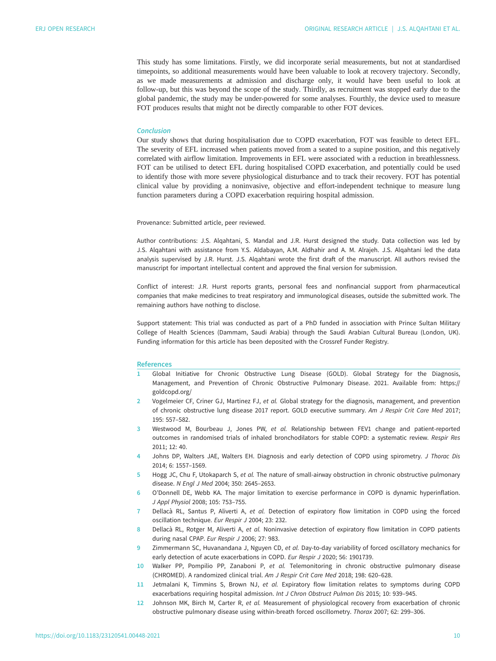<span id="page-9-0"></span>This study has some limitations. Firstly, we did incorporate serial measurements, but not at standardised timepoints, so additional measurements would have been valuable to look at recovery trajectory. Secondly, as we made measurements at admission and discharge only, it would have been useful to look at follow-up, but this was beyond the scope of the study. Thirdly, as recruitment was stopped early due to the global pandemic, the study may be under-powered for some analyses. Fourthly, the device used to measure FOT produces results that might not be directly comparable to other FOT devices.

#### Conclusion

Our study shows that during hospitalisation due to COPD exacerbation, FOT was feasible to detect EFL. The severity of EFL increased when patients moved from a seated to a supine position, and this negatively correlated with airflow limitation. Improvements in EFL were associated with a reduction in breathlessness. FOT can be utilised to detect EFL during hospitalised COPD exacerbation, and potentially could be used to identify those with more severe physiological disturbance and to track their recovery. FOT has potential clinical value by providing a noninvasive, objective and effort-independent technique to measure lung function parameters during a COPD exacerbation requiring hospital admission.

Provenance: Submitted article, peer reviewed.

Author contributions: J.S. Alqahtani, S. Mandal and J.R. Hurst designed the study. Data collection was led by J.S. Alqahtani with assistance from Y.S. Aldabayan, A.M. Aldhahir and A. M. Alrajeh. J.S. Alqahtani led the data analysis supervised by J.R. Hurst. J.S. Alqahtani wrote the first draft of the manuscript. All authors revised the manuscript for important intellectual content and approved the final version for submission.

Conflict of interest: J.R. Hurst reports grants, personal fees and nonfinancial support from pharmaceutical companies that make medicines to treat respiratory and immunological diseases, outside the submitted work. The remaining authors have nothing to disclose.

Support statement: This trial was conducted as part of a PhD funded in association with Prince Sultan Military College of Health Sciences (Dammam, Saudi Arabia) through the Saudi Arabian Cultural Bureau (London, UK). Funding information for this article has been deposited with the [Crossref Funder Registry](https://www.crossref.org/services/funder-registry/).

#### References

- 1 Global Initiative for Chronic Obstructive Lung Disease (GOLD). Global Strategy for the Diagnosis, Management, and Prevention of Chronic Obstructive Pulmonary Disease. 2021. Available from: [https://](https://goldcopd.org/) [goldcopd.org/](https://goldcopd.org/)
- 2 Vogelmeier CF, Criner GJ, Martinez FJ, et al. Global strategy for the diagnosis, management, and prevention of chronic obstructive lung disease 2017 report. GOLD executive summary. Am J Respir Crit Care Med 2017; 195: 557–582.
- 3 Westwood M, Bourbeau J, Jones PW, et al. Relationship between FEV1 change and patient-reported outcomes in randomised trials of inhaled bronchodilators for stable COPD: a systematic review. Respir Res 2011; 12: 40.
- 4 Johns DP, Walters JAE, Walters EH. Diagnosis and early detection of COPD using spirometry. J Thorac Dis 2014; 6: 1557–1569.
- 5 Hogg JC, Chu F, Utokaparch S, et al. The nature of small-airway obstruction in chronic obstructive pulmonary disease. N Engl J Med 2004; 350: 2645–2653.
- 6 O'Donnell DE, Webb KA. The major limitation to exercise performance in COPD is dynamic hyperinflation. J Appl Physiol 2008; 105: 753–755.
- 7 Dellacà RL, Santus P, Aliverti A, et al. Detection of expiratory flow limitation in COPD using the forced oscillation technique. Eur Respir J 2004; 23: 232.
- 8 Dellacà RL, Rotger M, Aliverti A, et al. Noninvasive detection of expiratory flow limitation in COPD patients during nasal CPAP. Eur Respir J 2006; 27: 983.
- 9 Zimmermann SC, Huvanandana J, Nguyen CD, et al. Day-to-day variability of forced oscillatory mechanics for early detection of acute exacerbations in COPD. Eur Respir J 2020; 56: 1901739.
- 10 Walker PP, Pompilio PP, Zanaboni P, et al. Telemonitoring in chronic obstructive pulmonary disease (CHROMED). A randomized clinical trial. Am J Respir Crit Care Med 2018; 198: 620–628.
- 11 Jetmalani K, Timmins S, Brown NJ, et al. Expiratory flow limitation relates to symptoms during COPD exacerbations requiring hospital admission. Int J Chron Obstruct Pulmon Dis 2015; 10: 939–945.
- 12 Johnson MK, Birch M, Carter R, et al. Measurement of physiological recovery from exacerbation of chronic obstructive pulmonary disease using within-breath forced oscillometry. Thorax 2007; 62: 299–306.